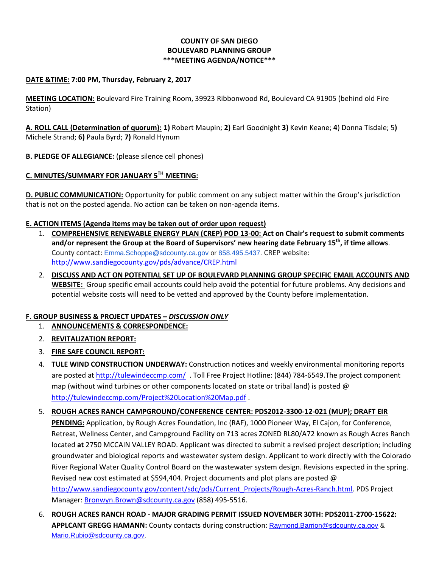## **COUNTY OF SAN DIEGO BOULEVARD PLANNING GROUP \*\*\*MEETING AGENDA/NOTICE\*\*\***

### **DATE &TIME: 7:00 PM, Thursday, February 2, 2017**

**MEETING LOCATION:** Boulevard Fire Training Room, 39923 Ribbonwood Rd, Boulevard CA 91905 (behind old Fire Station)

**A. ROLL CALL (Determination of quorum): 1)** Robert Maupin; **2)** Earl Goodnight **3)** Kevin Keane; **4**) Donna Tisdale; 5**)**  Michele Strand; **6)** Paula Byrd; **7)** Ronald Hynum

**B. PLEDGE OF ALLEGIANCE:** (please silence cell phones)

# **C. MINUTES/SUMMARY FOR JANUARY 5TH MEETING:**

**D. PUBLIC COMMUNICATION:** Opportunity for public comment on any subject matter within the Group's jurisdiction that is not on the posted agenda. No action can be taken on non-agenda items.

### **E. ACTION ITEMS (Agenda items may be taken out of order upon request)**

- 1. **COMPREHENSIVE RENEWABLE ENERGY PLAN (CREP) POD 13-00: Act on Chair's request to submit comments and/or represent the Group at the Board of Supervisors' new hearing date February 15th, if time allows**. County contact: [Emma.Schoppe@sdcounty.ca.gov](mailto:Emma.Schoppe@sdcounty.ca.gov) or [858.495.5437.](tel:858.495.5437) CREP website: <http://www.sandiegocounty.gov/pds/advance/CREP.html>
- 2. **DISCUSS AND ACT ON POTENTIAL SET UP OF BOULEVARD PLANNING GROUP SPECIFIC EMAIL ACCOUNTS AND WEBSITE:** Group specific email accounts could help avoid the potential for future problems. Any decisions and potential website costs will need to be vetted and approved by the County before implementation.

## **F. GROUP BUSINESS & PROJECT UPDATES –** *DISCUSSION ONLY*

- 1. **ANNOUNCEMENTS & CORRESPONDENCE:**
- 2. **REVITALIZATION REPORT:**
- 3. **FIRE SAFE COUNCIL REPORT:**
- 4. **TULE WIND CONSTRUCTION UNDERWAY:** Construction notices and weekly environmental monitoring reports are posted at<http://tulewindeccmp.com/>. Toll Free Project Hotline: (844) 784-6549.The project component map (without wind turbines or other components located on state or tribal land) is posted  $\omega$ <http://tulewindeccmp.com/Project%20Location%20Map.pdf> .
- 5. **ROUGH ACRES RANCH CAMPGROUND/CONFERENCE CENTER: PDS2012-3300-12-021 (MUP); DRAFT EIR PENDING:** Application, by Rough Acres Foundation, Inc (RAF), 1000 Pioneer Way, El Cajon, for Conference, Retreat, Wellness Center, and Campground Facility on 713 acres ZONED RL80/A72 known as Rough Acres Ranch located **at** 2750 MCCAIN VALLEY ROAD. Applicant was directed to submit a revised project description; including groundwater and biological reports and wastewater system design. Applicant to work directly with the Colorado River Regional Water Quality Control Board on the wastewater system design. Revisions expected in the spring. Revised new cost estimated at \$594,404. Project documents and plot plans are posted @ [http://www.sandiegocounty.gov/content/sdc/pds/Current\\_Projects/Rough-Acres-Ranch.html.](http://www.sandiegocounty.gov/content/sdc/pds/Current_Projects/Rough-Acres-Ranch.html) PDS Project Manager: [Bronwyn.Brown@sdcounty.ca.gov](mailto:Bronwyn.Brown@sdcounty.ca.gov) (858) 495-5516.
- 6. **ROUGH ACRES RANCH ROAD - MAJOR GRADING PERMIT ISSUED NOVEMBER 30TH: PDS2011-2700-15622: APPLCANT GREGG HAMANN:** County contacts during construction: [Raymond.Barrion@sdcounty.ca.gov](mailto:Raymond.Barrion@sdcounty.ca.gov) & [Mario.Rubio@sdcounty.ca.gov.](mailto:Mario.Rubio@sdcounty.ca.gov)